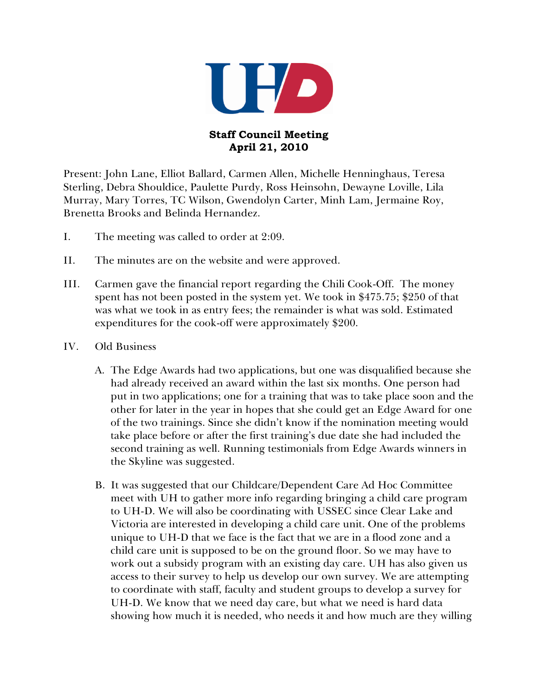

## **Staff Council Meeting April 21, 2010**

Present: John Lane, Elliot Ballard, Carmen Allen, Michelle Henninghaus, Teresa Sterling, Debra Shouldice, Paulette Purdy, Ross Heinsohn, Dewayne Loville, Lila Murray, Mary Torres, TC Wilson, Gwendolyn Carter, Minh Lam, Jermaine Roy, Brenetta Brooks and Belinda Hernandez.

- I. The meeting was called to order at 2:09.
- II. The minutes are on the website and were approved.
- III. Carmen gave the financial report regarding the Chili Cook-Off. The money spent has not been posted in the system yet. We took in \$475.75; \$250 of that was what we took in as entry fees; the remainder is what was sold. Estimated expenditures for the cook-off were approximately \$200.
- IV. Old Business
	- A. The Edge Awards had two applications, but one was disqualified because she had already received an award within the last six months. One person had put in two applications; one for a training that was to take place soon and the other for later in the year in hopes that she could get an Edge Award for one of the two trainings. Since she didn't know if the nomination meeting would take place before or after the first training's due date she had included the second training as well. Running testimonials from Edge Awards winners in the Skyline was suggested.
	- B. It was suggested that our Childcare/Dependent Care Ad Hoc Committee meet with UH to gather more info regarding bringing a child care program to UH-D. We will also be coordinating with USSEC since Clear Lake and Victoria are interested in developing a child care unit. One of the problems unique to UH-D that we face is the fact that we are in a flood zone and a child care unit is supposed to be on the ground floor. So we may have to work out a subsidy program with an existing day care. UH has also given us access to their survey to help us develop our own survey. We are attempting to coordinate with staff, faculty and student groups to develop a survey for UH-D. We know that we need day care, but what we need is hard data showing how much it is needed, who needs it and how much are they willing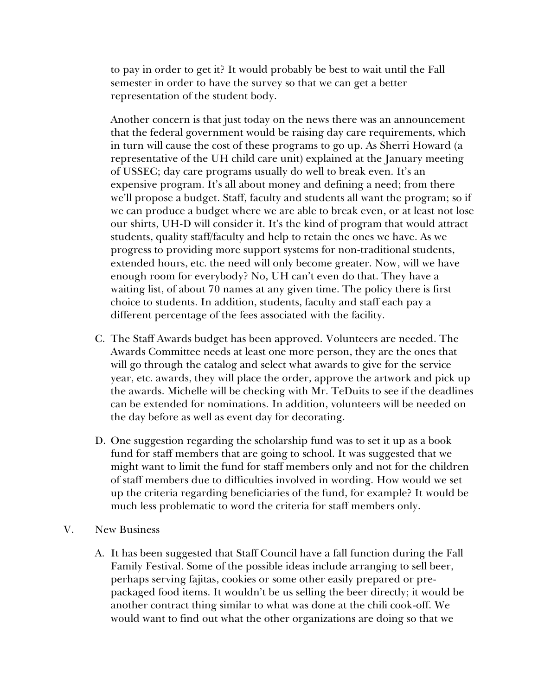to pay in order to get it? It would probably be best to wait until the Fall semester in order to have the survey so that we can get a better representation of the student body.

Another concern is that just today on the news there was an announcement that the federal government would be raising day care requirements, which in turn will cause the cost of these programs to go up. As Sherri Howard (a representative of the UH child care unit) explained at the January meeting of USSEC; day care programs usually do well to break even. It's an expensive program. It's all about money and defining a need; from there we'll propose a budget. Staff, faculty and students all want the program; so if we can produce a budget where we are able to break even, or at least not lose our shirts, UH-D will consider it. It's the kind of program that would attract students, quality staff/faculty and help to retain the ones we have. As we progress to providing more support systems for non-traditional students, extended hours, etc. the need will only become greater. Now, will we have enough room for everybody? No, UH can't even do that. They have a waiting list, of about 70 names at any given time. The policy there is first choice to students. In addition, students, faculty and staff each pay a different percentage of the fees associated with the facility.

- C. The Staff Awards budget has been approved. Volunteers are needed. The Awards Committee needs at least one more person, they are the ones that will go through the catalog and select what awards to give for the service year, etc. awards, they will place the order, approve the artwork and pick up the awards. Michelle will be checking with Mr. TeDuits to see if the deadlines can be extended for nominations. In addition, volunteers will be needed on the day before as well as event day for decorating.
- D. One suggestion regarding the scholarship fund was to set it up as a book fund for staff members that are going to school. It was suggested that we might want to limit the fund for staff members only and not for the children of staff members due to difficulties involved in wording. How would we set up the criteria regarding beneficiaries of the fund, for example? It would be much less problematic to word the criteria for staff members only.
- V. New Business
	- A. It has been suggested that Staff Council have a fall function during the Fall Family Festival. Some of the possible ideas include arranging to sell beer, perhaps serving fajitas, cookies or some other easily prepared or prepackaged food items. It wouldn't be us selling the beer directly; it would be another contract thing similar to what was done at the chili cook-off. We would want to find out what the other organizations are doing so that we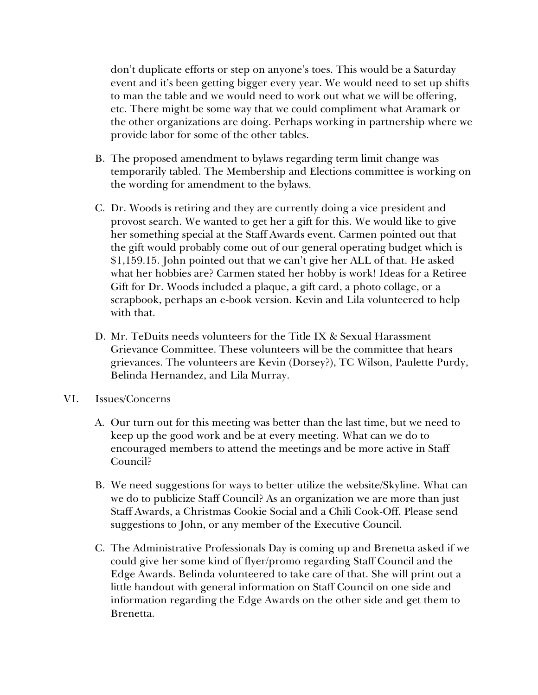don't duplicate efforts or step on anyone's toes. This would be a Saturday event and it's been getting bigger every year. We would need to set up shifts to man the table and we would need to work out what we will be offering, etc. There might be some way that we could compliment what Aramark or the other organizations are doing. Perhaps working in partnership where we provide labor for some of the other tables.

- B. The proposed amendment to bylaws regarding term limit change was temporarily tabled. The Membership and Elections committee is working on the wording for amendment to the bylaws.
- C. Dr. Woods is retiring and they are currently doing a vice president and provost search. We wanted to get her a gift for this. We would like to give her something special at the Staff Awards event. Carmen pointed out that the gift would probably come out of our general operating budget which is \$1,159.15. John pointed out that we can't give her ALL of that. He asked what her hobbies are? Carmen stated her hobby is work! Ideas for a Retiree Gift for Dr. Woods included a plaque, a gift card, a photo collage, or a scrapbook, perhaps an e-book version. Kevin and Lila volunteered to help with that.
- D. Mr. TeDuits needs volunteers for the Title IX & Sexual Harassment Grievance Committee. These volunteers will be the committee that hears grievances. The volunteers are Kevin (Dorsey?), TC Wilson, Paulette Purdy, Belinda Hernandez, and Lila Murray.
- VI. Issues/Concerns
	- A. Our turn out for this meeting was better than the last time, but we need to keep up the good work and be at every meeting. What can we do to encouraged members to attend the meetings and be more active in Staff Council?
	- B. We need suggestions for ways to better utilize the website/Skyline. What can we do to publicize Staff Council? As an organization we are more than just Staff Awards, a Christmas Cookie Social and a Chili Cook-Off. Please send suggestions to John, or any member of the Executive Council.
	- C. The Administrative Professionals Day is coming up and Brenetta asked if we could give her some kind of flyer/promo regarding Staff Council and the Edge Awards. Belinda volunteered to take care of that. She will print out a little handout with general information on Staff Council on one side and information regarding the Edge Awards on the other side and get them to Brenetta.